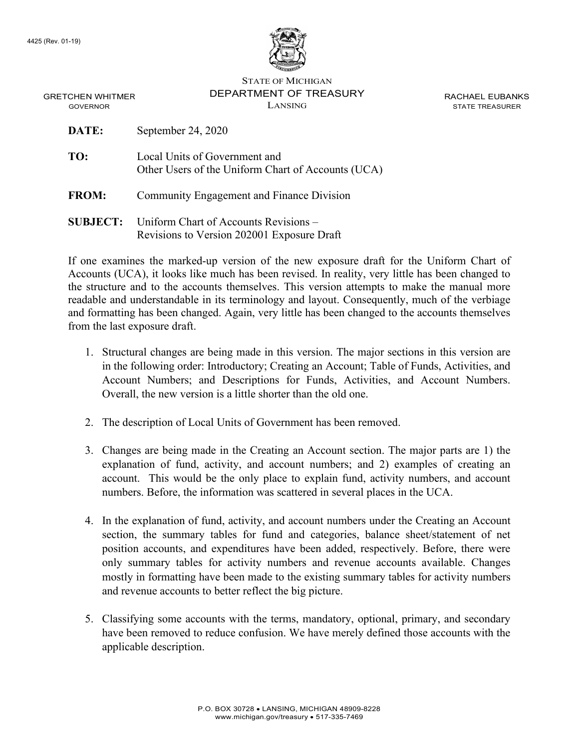

STATE OF MICHIGAN DEPARTMENT OF TREASURY LANSING

RACHAEL EUBANKS STATE TREASURER

GRETCHEN WHITMER GOVERNOR

| DATE:           | September 24, 2020                                                                  |
|-----------------|-------------------------------------------------------------------------------------|
| TO:             | Local Units of Government and<br>Other Users of the Uniform Chart of Accounts (UCA) |
| <b>FROM:</b>    | <b>Community Engagement and Finance Division</b>                                    |
| <b>SUBJECT:</b> | Uniform Chart of Accounts Revisions –<br>Revisions to Version 202001 Exposure Draft |

If one examines the marked-up version of the new exposure draft for the Uniform Chart of Accounts (UCA), it looks like much has been revised. In reality, very little has been changed to the structure and to the accounts themselves. This version attempts to make the manual more readable and understandable in its terminology and layout. Consequently, much of the verbiage and formatting has been changed. Again, very little has been changed to the accounts themselves from the last exposure draft.

- 1. Structural changes are being made in this version. The major sections in this version are in the following order: Introductory; Creating an Account; Table of Funds, Activities, and Account Numbers; and Descriptions for Funds, Activities, and Account Numbers. Overall, the new version is a little shorter than the old one.
- 2. The description of Local Units of Government has been removed.
- 3. Changes are being made in the Creating an Account section. The major parts are 1) the explanation of fund, activity, and account numbers; and 2) examples of creating an account. This would be the only place to explain fund, activity numbers, and account numbers. Before, the information was scattered in several places in the UCA.
- 4. In the explanation of fund, activity, and account numbers under the Creating an Account section, the summary tables for fund and categories, balance sheet/statement of net position accounts, and expenditures have been added, respectively. Before, there were only summary tables for activity numbers and revenue accounts available. Changes mostly in formatting have been made to the existing summary tables for activity numbers and revenue accounts to better reflect the big picture.
- 5. Classifying some accounts with the terms, mandatory, optional, primary, and secondary have been removed to reduce confusion. We have merely defined those accounts with the applicable description.